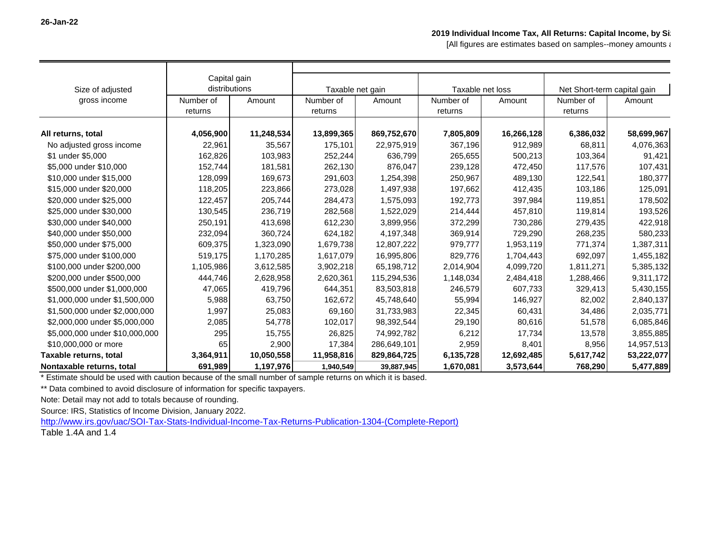[All figures are estimates based on samples--money amounts and

| Size of adjusted               | Capital gain<br>distributions |            | Taxable net gain |             | Taxable net loss |            | Net Short-term capital gain |            |
|--------------------------------|-------------------------------|------------|------------------|-------------|------------------|------------|-----------------------------|------------|
| gross income                   | Number of                     | Amount     | Number of        | Amount      | Number of        | Amount     | Number of                   | Amount     |
|                                | returns                       |            | returns          |             | returns          |            | returns                     |            |
|                                |                               |            |                  |             |                  |            |                             |            |
| All returns, total             | 4,056,900                     | 11,248,534 | 13,899,365       | 869,752,670 | 7,805,809        | 16,266,128 | 6,386,032                   | 58,699,967 |
| No adjusted gross income       | 22,961                        | 35,567     | 175,101          | 22,975,919  | 367,196          | 912,989    | 68,811                      | 4,076,363  |
| \$1 under \$5,000              | 162,826                       | 103,983    | 252,244          | 636,799     | 265,655          | 500,213    | 103,364                     | 91,421     |
| \$5,000 under \$10,000         | 152,744                       | 181,581    | 262,130          | 876,047     | 239,128          | 472,450    | 117,576                     | 107,431    |
| \$10,000 under \$15,000        | 128,099                       | 169,673    | 291,603          | 1,254,398   | 250,967          | 489,130    | 122,541                     | 180,377    |
| \$15,000 under \$20,000        | 118,205                       | 223,866    | 273,028          | 1,497,938   | 197,662          | 412,435    | 103,186                     | 125,091    |
| \$20,000 under \$25,000        | 122,457                       | 205,744    | 284,473          | 1,575,093   | 192,773          | 397,984    | 119,851                     | 178,502    |
| \$25,000 under \$30,000        | 130,545                       | 236,719    | 282,568          | 1,522,029   | 214,444          | 457,810    | 119,814                     | 193,526    |
| \$30,000 under \$40,000        | 250,191                       | 413,698    | 612,230          | 3,899,956   | 372,299          | 730,286    | 279,435                     | 422,918    |
| \$40,000 under \$50,000        | 232,094                       | 360,724    | 624,182          | 4,197,348   | 369,914          | 729,290    | 268,235                     | 580,233    |
| \$50,000 under \$75,000        | 609,375                       | 1,323,090  | 1,679,738        | 12,807,222  | 979,777          | 1,953,119  | 771,374                     | 1,387,311  |
| \$75,000 under \$100,000       | 519,175                       | 1,170,285  | 1,617,079        | 16,995,806  | 829,776          | 1,704,443  | 692,097                     | 1,455,182  |
| \$100,000 under \$200,000      | 1,105,986                     | 3,612,585  | 3,902,218        | 65,198,712  | 2,014,904        | 4,099,720  | 1,811,271                   | 5,385,132  |
| \$200,000 under \$500,000      | 444,746                       | 2,628,958  | 2,620,361        | 115,294,536 | 1,148,034        | 2,484,418  | 1,288,466                   | 9,311,172  |
| \$500,000 under \$1,000,000    | 47,065                        | 419,796    | 644,351          | 83,503,818  | 246,579          | 607,733    | 329,413                     | 5,430,155  |
| \$1,000,000 under \$1,500,000  | 5,988                         | 63,750     | 162,672          | 45,748,640  | 55,994           | 146,927    | 82,002                      | 2,840,137  |
| \$1,500,000 under \$2,000,000  | 1,997                         | 25,083     | 69,160           | 31,733,983  | 22,345           | 60,431     | 34,486                      | 2,035,771  |
| \$2,000,000 under \$5,000,000  | 2,085                         | 54,778     | 102,017          | 98,392,544  | 29,190           | 80,616     | 51,578                      | 6,085,846  |
| \$5,000,000 under \$10,000,000 | 295                           | 15,755     | 26,825           | 74,992,782  | 6,212            | 17,734     | 13,578                      | 3,855,885  |
| \$10,000,000 or more           | 65                            | 2,900      | 17,384           | 286,649,101 | 2,959            | 8,401      | 8,956                       | 14,957,513 |
| Taxable returns, total         | 3,364,911                     | 10,050,558 | 11,958,816       | 829,864,725 | 6,135,728        | 12,692,485 | 5,617,742                   | 53,222,077 |
| Nontaxable returns, total      | 691,989                       | 1,197,976  | 1,940,549        | 39,887,945  | 1,670,081        | 3,573,644  | 768,290                     | 5,477,889  |

\* Estimate should be used with caution because of the small number of sample returns on which it is based.

\*\* Data combined to avoid disclosure of information for specific taxpayers.

Note: Detail may not add to totals because of rounding.

Source: IRS, Statistics of Income Division, January 2022.

[http://www.irs.gov/uac/SOI-Tax-Stats-Individual-Income-Tax-Returns-Publication-1304-\(Complete-Report\)](http://www.irs.gov/uac/SOI-Tax-Stats-Individual-Income-Tax-Returns-Publication-1304-(Complete-Report))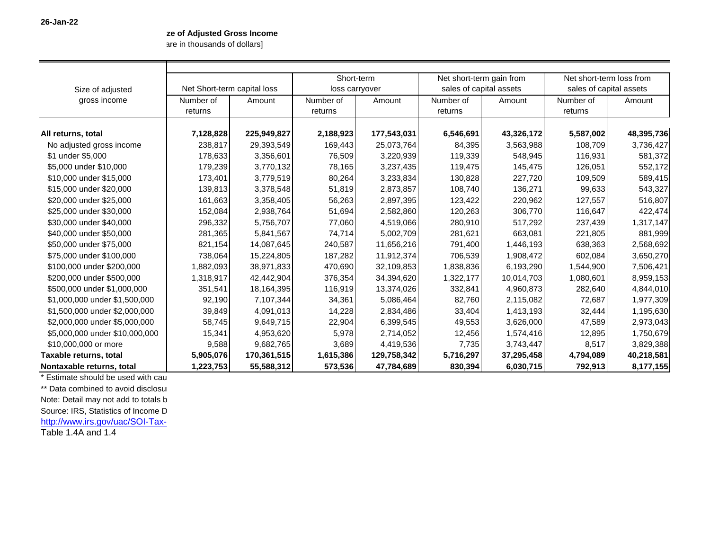## **ze of Adjusted Gross Income**

are in thousands of dollars]

|                                |           |                             | Short-term |                | Net short-term gain from |                         | Net short-term loss from |                         |  |  |  |
|--------------------------------|-----------|-----------------------------|------------|----------------|--------------------------|-------------------------|--------------------------|-------------------------|--|--|--|
| Size of adjusted               |           | Net Short-term capital loss |            | loss carryover |                          | sales of capital assets |                          | sales of capital assets |  |  |  |
| gross income                   | Number of | Amount                      | Number of  | Amount         | Number of                | Amount                  | Number of                | Amount                  |  |  |  |
|                                | returns   |                             | returns    |                | returns                  |                         | returns                  |                         |  |  |  |
| All returns, total             | 7,128,828 | 225,949,827                 | 2,188,923  | 177,543,031    | 6,546,691                | 43,326,172              | 5,587,002                | 48,395,736              |  |  |  |
| No adjusted gross income       | 238,817   | 29,393,549                  | 169,443    | 25,073,764     | 84,395                   | 3,563,988               | 108,709                  | 3,736,427               |  |  |  |
| \$1 under \$5,000              | 178,633   | 3,356,601                   | 76,509     | 3,220,939      | 119,339                  | 548,945                 | 116,931                  | 581,372                 |  |  |  |
| \$5,000 under \$10,000         | 179,239   | 3,770,132                   | 78,165     | 3,237,435      | 119,475                  | 145,475                 | 126,051                  | 552,172                 |  |  |  |
| \$10,000 under \$15,000        | 173,401   | 3,779,519                   | 80,264     | 3,233,834      | 130,828                  | 227,720                 | 109,509                  | 589,415                 |  |  |  |
| \$15,000 under \$20,000        | 139,813   | 3,378,548                   | 51,819     | 2,873,857      | 108,740                  | 136,271                 | 99,633                   | 543,327                 |  |  |  |
| \$20,000 under \$25,000        | 161,663   | 3,358,405                   | 56,263     | 2,897,395      | 123,422                  | 220,962                 | 127,557                  | 516,807                 |  |  |  |
| \$25,000 under \$30,000        | 152,084   | 2,938,764                   | 51,694     | 2,582,860      | 120,263                  | 306,770                 | 116,647                  | 422,474                 |  |  |  |
| \$30,000 under \$40,000        | 296,332   | 5,756,707                   | 77,060     | 4,519,066      | 280,910                  | 517,292                 | 237,439                  | 1,317,147               |  |  |  |
| \$40,000 under \$50,000        | 281,365   | 5,841,567                   | 74,714     | 5,002,709      | 281,621                  | 663,081                 | 221,805                  | 881,999                 |  |  |  |
| \$50,000 under \$75,000        | 821,154   | 14,087,645                  | 240,587    | 11,656,216     | 791,400                  | 1,446,193               | 638,363                  | 2,568,692               |  |  |  |
| \$75,000 under \$100,000       | 738,064   | 15,224,805                  | 187,282    | 11,912,374     | 706,539                  | 1,908,472               | 602,084                  | 3,650,270               |  |  |  |
| \$100,000 under \$200,000      | 1,882,093 | 38,971,833                  | 470,690    | 32,109,853     | 1,838,836                | 6,193,290               | 1,544,900                | 7,506,421               |  |  |  |
| \$200,000 under \$500,000      | 1,318,917 | 42,442,904                  | 376,354    | 34,394,620     | 1,322,177                | 10,014,703              | 1,080,601                | 8,959,153               |  |  |  |
| \$500,000 under \$1,000,000    | 351,541   | 18,164,395                  | 116,919    | 13,374,026     | 332,841                  | 4,960,873               | 282,640                  | 4,844,010               |  |  |  |
| \$1,000,000 under \$1,500,000  | 92,190    | 7,107,344                   | 34,361     | 5,086,464      | 82,760                   | 2,115,082               | 72,687                   | 1,977,309               |  |  |  |
| \$1,500,000 under \$2,000,000  | 39,849    | 4,091,013                   | 14,228     | 2,834,486      | 33,404                   | 1,413,193               | 32,444                   | 1,195,630               |  |  |  |
| \$2,000,000 under \$5,000,000  | 58,745    | 9,649,715                   | 22,904     | 6,399,545      | 49,553                   | 3,626,000               | 47,589                   | 2,973,043               |  |  |  |
| \$5,000,000 under \$10,000,000 | 15,341    | 4,953,620                   | 5,978      | 2,714,052      | 12,456                   | 1,574,416               | 12,895                   | 1,750,679               |  |  |  |
| \$10,000,000 or more           | 9,588     | 9,682,765                   | 3,689      | 4,419,536      | 7,735                    | 3,743,447               | 8,517                    | 3,829,388               |  |  |  |
| Taxable returns, total         | 5,905,076 | 170,361,515                 | 1,615,386  | 129,758,342    | 5,716,297                | 37,295,458              | 4,794,089                | 40,218,581              |  |  |  |
| Nontaxable returns, total      | 1,223,753 | 55,588,312                  | 573,536    | 47,784,689     | 830,394                  | 6,030,715               | 792,913                  | 8,177,155               |  |  |  |

\* Estimate should be used with cau

\*\* Data combined to avoid disclosure

Note: Detail may not add to totals b

Source: IRS, Statistics of Income D

http://www.irs.gov/uac/SOI-Tax-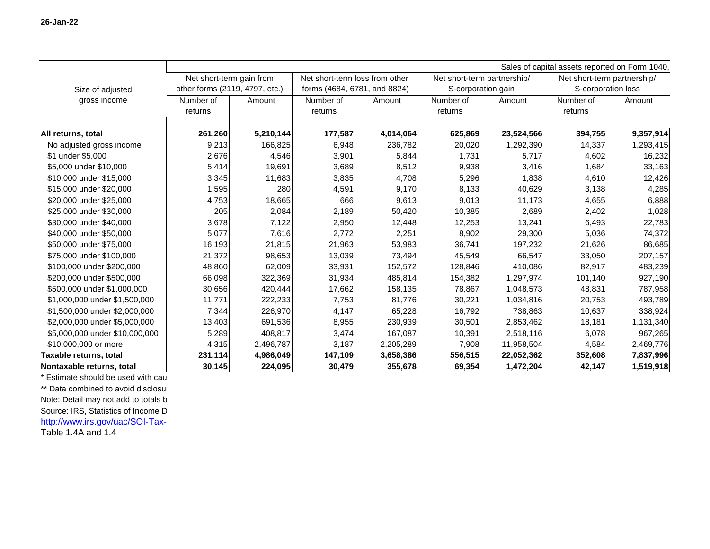|                                | Sales of capital assets reported on Form 1040, |           |                                |           |                             |            |                             |           |  |  |
|--------------------------------|------------------------------------------------|-----------|--------------------------------|-----------|-----------------------------|------------|-----------------------------|-----------|--|--|
|                                | Net short-term gain from                       |           | Net short-term loss from other |           | Net short-term partnership/ |            | Net short-term partnership/ |           |  |  |
| Size of adjusted               | other forms (2119, 4797, etc.)                 |           | forms (4684, 6781, and 8824)   |           | S-corporation gain          |            | S-corporation loss          |           |  |  |
| gross income                   | Number of                                      | Amount    | Number of<br>Amount            |           | Number of<br>Amount         |            | Number of<br>Amount         |           |  |  |
|                                | returns                                        |           | returns                        |           | returns                     |            | returns                     |           |  |  |
|                                |                                                |           |                                |           |                             |            |                             |           |  |  |
| All returns, total             | 261,260                                        | 5,210,144 | 177,587                        | 4,014,064 | 625,869                     | 23,524,566 | 394,755                     | 9,357,914 |  |  |
| No adjusted gross income       | 9,213                                          | 166,825   | 6,948                          | 236,782   | 20,020                      | 1,292,390  | 14,337                      | 1,293,415 |  |  |
| \$1 under \$5,000              | 2,676                                          | 4,546     | 3,901                          | 5,844     | 1,731                       | 5,717      | 4,602                       | 16,232    |  |  |
| \$5,000 under \$10,000         | 5,414                                          | 19,691    | 3,689                          | 8,512     | 9,938                       | 3,416      | 1,684                       | 33,163    |  |  |
| \$10,000 under \$15,000        | 3,345                                          | 11,683    | 3,835                          | 4,708     | 5,296                       | 1,838      | 4,610                       | 12,426    |  |  |
| \$15,000 under \$20,000        | 1,595                                          | 280       | 4,591                          | 9,170     | 8,133                       | 40,629     | 3,138                       | 4,285     |  |  |
| \$20,000 under \$25,000        | 4,753                                          | 18,665    | 666                            | 9,613     | 9,013                       | 11,173     | 4,655                       | 6,888     |  |  |
| \$25,000 under \$30,000        | 205                                            | 2,084     | 2,189                          | 50,420    | 10,385                      | 2,689      | 2,402                       | 1,028     |  |  |
| \$30,000 under \$40,000        | 3,678                                          | 7,122     | 2,950                          | 12,448    | 12,253                      | 13,241     | 6,493                       | 22,783    |  |  |
| \$40,000 under \$50,000        | 5,077                                          | 7,616     | 2,772                          | 2,251     | 8,902                       | 29,300     | 5,036                       | 74,372    |  |  |
| \$50,000 under \$75,000        | 16,193                                         | 21,815    | 21,963                         | 53,983    | 36,741                      | 197,232    | 21,626                      | 86,685    |  |  |
| \$75,000 under \$100,000       | 21,372                                         | 98,653    | 13,039                         | 73,494    | 45,549                      | 66,547     | 33,050                      | 207,157   |  |  |
| \$100,000 under \$200,000      | 48,860                                         | 62,009    | 33,931                         | 152,572   | 128,846                     | 410,086    | 82,917                      | 483,239   |  |  |
| \$200,000 under \$500,000      | 66,098                                         | 322,369   | 31,934                         | 485,814   | 154,382                     | 1,297,974  | 101,140                     | 927,190   |  |  |
| \$500,000 under \$1,000,000    | 30,656                                         | 420,444   | 17,662                         | 158,135   | 78,867                      | 1,048,573  | 48,831                      | 787,958   |  |  |
| \$1,000,000 under \$1,500,000  | 11,771                                         | 222,233   | 7,753                          | 81,776    | 30,221                      | 1,034,816  | 20,753                      | 493,789   |  |  |
| \$1,500,000 under \$2,000,000  | 7,344                                          | 226,970   | 4,147                          | 65,228    | 16,792                      | 738,863    | 10,637                      | 338,924   |  |  |
| \$2,000,000 under \$5,000,000  | 13,403                                         | 691,536   | 8,955                          | 230,939   | 30,501                      | 2,853,462  | 18,181                      | 1,131,340 |  |  |
| \$5,000,000 under \$10,000,000 | 5,289                                          | 408,817   | 3,474                          | 167,087   | 10,391                      | 2,518,116  | 6,078                       | 967,265   |  |  |
| \$10,000,000 or more           | 4,315                                          | 2,496,787 | 3,187                          | 2,205,289 | 7,908                       | 11,958,504 | 4,584                       | 2,469,776 |  |  |
| Taxable returns, total         | 231,114                                        | 4,986,049 | 147,109                        | 3,658,386 | 556,515                     | 22,052,362 | 352,608                     | 7,837,996 |  |  |
| Nontaxable returns, total      | 30,145                                         | 224,095   | 30,479                         | 355,678   | 69,354                      | 1,472,204  | 42,147                      | 1,519,918 |  |  |

\* Estimate should be used with cau \*\* Data combined to avoid disclosure Note: Detail may not add to totals b

Source: IRS, Statistics of Income D

http://www.irs.gov/uac/SOI-Tax-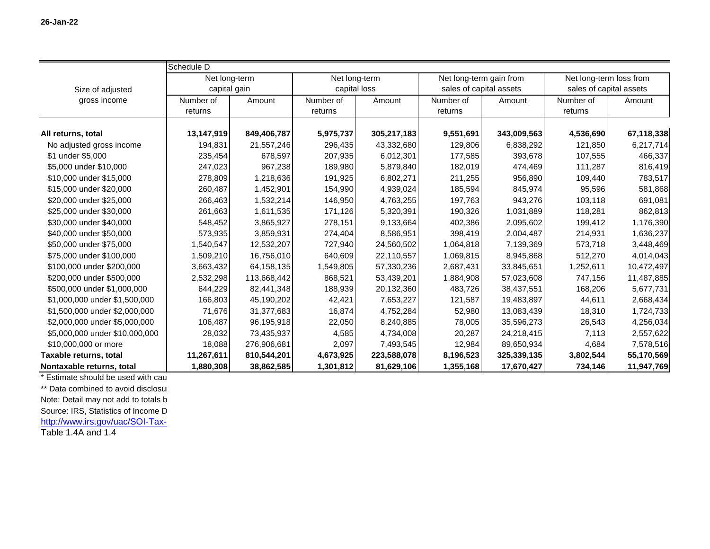|                                | Schedule D    |             |              |               |                         |                         |                         |                         |  |  |  |
|--------------------------------|---------------|-------------|--------------|---------------|-------------------------|-------------------------|-------------------------|-------------------------|--|--|--|
|                                | Net long-term |             |              | Net long-term |                         | Net long-term gain from |                         | Net long-term loss from |  |  |  |
| Size of adjusted               | capital gain  |             | capital loss |               | sales of capital assets |                         | sales of capital assets |                         |  |  |  |
| gross income                   | Number of     | Amount      | Number of    | Amount        | Number of               | Amount                  | Number of               | Amount                  |  |  |  |
|                                | returns       |             | returns      |               | returns                 |                         | returns                 |                         |  |  |  |
| All returns, total             | 13,147,919    | 849,406,787 | 5,975,737    | 305,217,183   | 9,551,691               | 343,009,563             | 4,536,690               | 67,118,338              |  |  |  |
| No adjusted gross income       | 194,831       | 21,557,246  | 296,435      | 43,332,680    | 129,806                 | 6,838,292               | 121,850                 | 6,217,714               |  |  |  |
| \$1 under \$5,000              | 235,454       | 678,597     | 207,935      | 6,012,301     | 177,585                 | 393,678                 | 107,555                 | 466,337                 |  |  |  |
| \$5,000 under \$10,000         | 247,023       | 967,238     | 189,980      | 5,879,840     | 182,019                 | 474,469                 | 111,287                 | 816,419                 |  |  |  |
| \$10,000 under \$15,000        | 278,809       | 1,218,636   | 191,925      | 6,802,271     | 211,255                 | 956,890                 | 109,440                 | 783,517                 |  |  |  |
| \$15,000 under \$20,000        | 260,487       | 1,452,901   | 154,990      | 4,939,024     | 185,594                 | 845,974                 | 95,596                  | 581,868                 |  |  |  |
| \$20,000 under \$25,000        | 266,463       | 1,532,214   | 146,950      | 4,763,255     | 197,763                 | 943,276                 | 103,118                 | 691,081                 |  |  |  |
| \$25,000 under \$30,000        | 261,663       | 1,611,535   | 171,126      | 5,320,391     | 190,326                 | 1,031,889               | 118,281                 | 862,813                 |  |  |  |
| \$30,000 under \$40,000        | 548,452       | 3,865,927   | 278,151      | 9,133,664     | 402,386                 | 2,095,602               | 199,412                 | 1,176,390               |  |  |  |
| \$40,000 under \$50,000        | 573,935       | 3,859,931   | 274,404      | 8,586,951     | 398,419                 | 2,004,487               | 214,931                 | 1,636,237               |  |  |  |
| \$50,000 under \$75,000        | 1,540,547     | 12,532,207  | 727,940      | 24,560,502    | 1,064,818               | 7,139,369               | 573,718                 | 3,448,469               |  |  |  |
| \$75,000 under \$100,000       | 1,509,210     | 16,756,010  | 640,609      | 22,110,557    | 1,069,815               | 8,945,868               | 512,270                 | 4,014,043               |  |  |  |
| \$100,000 under \$200,000      | 3,663,432     | 64,158,135  | 1,549,805    | 57,330,236    | 2,687,431               | 33,845,651              | 1,252,611               | 10,472,497              |  |  |  |
| \$200,000 under \$500,000      | 2,532,298     | 113,668,442 | 868,521      | 53,439,201    | 1,884,908               | 57,023,608              | 747,156                 | 11,487,885              |  |  |  |
| \$500,000 under \$1,000,000    | 644,229       | 82,441,348  | 188,939      | 20,132,360    | 483,726                 | 38,437,551              | 168,206                 | 5,677,731               |  |  |  |
| \$1,000,000 under \$1,500,000  | 166,803       | 45,190,202  | 42,421       | 7,653,227     | 121,587                 | 19,483,897              | 44,611                  | 2,668,434               |  |  |  |
| \$1,500,000 under \$2,000,000  | 71,676        | 31,377,683  | 16,874       | 4,752,284     | 52,980                  | 13,083,439              | 18,310                  | 1,724,733               |  |  |  |
| \$2,000,000 under \$5,000,000  | 106,487       | 96,195,918  | 22,050       | 8,240,885     | 78,005                  | 35,596,273              | 26,543                  | 4,256,034               |  |  |  |
| \$5,000,000 under \$10,000,000 | 28,032        | 73,435,937  | 4,585        | 4,734,008     | 20,287                  | 24,218,415              | 7,113                   | 2,557,622               |  |  |  |
| \$10,000,000 or more           | 18,088        | 276,906,681 | 2,097        | 7,493,545     | 12,984                  | 89,650,934              | 4,684                   | 7,578,516               |  |  |  |
| Taxable returns, total         | 11,267,611    | 810,544,201 | 4,673,925    | 223,588,078   | 8,196,523               | 325,339,135             | 3,802,544               | 55,170,569              |  |  |  |
| Nontaxable returns, total      | 1,880,308     | 38,862,585  | 1,301,812    | 81,629,106    | 1,355,168               | 17,670,427              | 734,146                 | 11,947,769              |  |  |  |

\* Estimate should be used with cau \*\* Data combined to avoid disclosure Note: Detail may not add to totals b

Source: IRS, Statistics of Income D

http://www.irs.gov/uac/SOI-Tax-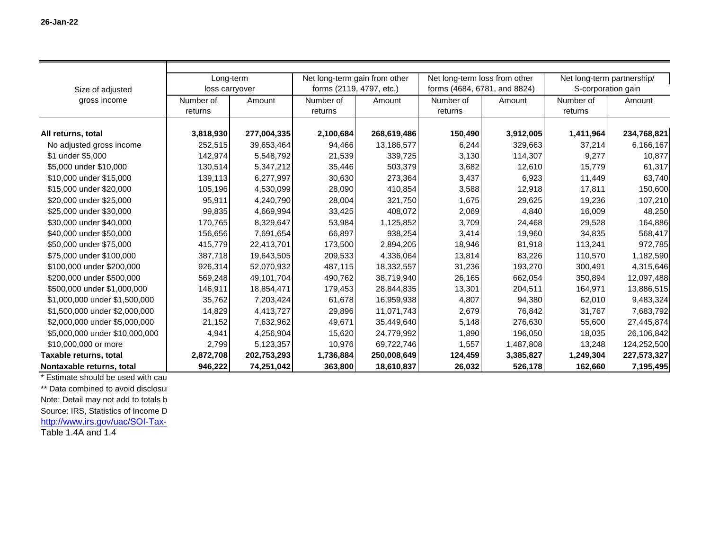|                                | Long-term      |             | Net long-term gain from other |             | Net long-term loss from other |                              | Net long-term partnership/ |                    |
|--------------------------------|----------------|-------------|-------------------------------|-------------|-------------------------------|------------------------------|----------------------------|--------------------|
| Size of adjusted               | loss carryover |             | forms (2119, 4797, etc.)      |             |                               | forms (4684, 6781, and 8824) |                            | S-corporation gain |
| gross income                   | Number of      | Amount      | Number of                     | Amount      | Number of                     | Amount                       | Number of                  | Amount             |
|                                | returns        |             | returns                       |             | returns                       |                              | returns                    |                    |
|                                |                |             |                               |             |                               |                              |                            |                    |
| All returns, total             | 3,818,930      | 277,004,335 | 2,100,684                     | 268,619,486 | 150,490                       | 3,912,005                    | 1,411,964                  | 234,768,821        |
| No adjusted gross income       | 252,515        | 39,653,464  | 94,466                        | 13,186,577  | 6,244                         | 329,663                      | 37,214                     | 6,166,167          |
| \$1 under \$5,000              | 142,974        | 5,548,792   | 21,539                        | 339,725     | 3,130                         | 114,307                      | 9,277                      | 10,877             |
| \$5,000 under \$10,000         | 130,514        | 5,347,212   | 35,446                        | 503,379     | 3,682                         | 12,610                       | 15,779                     | 61,317             |
| \$10,000 under \$15,000        | 139,113        | 6,277,997   | 30,630                        | 273,364     | 3,437                         | 6,923                        | 11,449                     | 63,740             |
| \$15,000 under \$20,000        | 105,196        | 4,530,099   | 28,090                        | 410,854     | 3,588                         | 12,918                       | 17,811                     | 150,600            |
| \$20,000 under \$25,000        | 95,911         | 4,240,790   | 28,004                        | 321,750     | 1,675                         | 29,625                       | 19,236                     | 107,210            |
| \$25,000 under \$30,000        | 99,835         | 4,669,994   | 33,425                        | 408,072     | 2,069                         | 4,840                        | 16,009                     | 48,250             |
| \$30,000 under \$40,000        | 170,765        | 8,329,647   | 53,984                        | 1,125,852   | 3,709                         | 24,468                       | 29,528                     | 164,886            |
| \$40,000 under \$50,000        | 156,656        | 7,691,654   | 66,897                        | 938,254     | 3,414                         | 19,960                       | 34,835                     | 568,417            |
| \$50,000 under \$75,000        | 415,779        | 22,413,701  | 173,500                       | 2,894,205   | 18,946                        | 81,918                       | 113,241                    | 972,785            |
| \$75,000 under \$100,000       | 387,718        | 19,643,505  | 209,533                       | 4,336,064   | 13,814                        | 83,226                       | 110,570                    | 1,182,590          |
| \$100,000 under \$200,000      | 926,314        | 52,070,932  | 487,115                       | 18,332,557  | 31,236                        | 193,270                      | 300,491                    | 4,315,646          |
| \$200,000 under \$500,000      | 569,248        | 49,101,704  | 490,762                       | 38,719,940  | 26,165                        | 662,054                      | 350,894                    | 12,097,488         |
| \$500,000 under \$1,000,000    | 146,911        | 18,854,471  | 179,453                       | 28,844,835  | 13,301                        | 204,511                      | 164,971                    | 13,886,515         |
| \$1,000,000 under \$1,500,000  | 35,762         | 7,203,424   | 61,678                        | 16,959,938  | 4,807                         | 94,380                       | 62,010                     | 9,483,324          |
| \$1,500,000 under \$2,000,000  | 14,829         | 4,413,727   | 29,896                        | 11,071,743  | 2,679                         | 76,842                       | 31,767                     | 7,683,792          |
| \$2,000,000 under \$5,000,000  | 21,152         | 7,632,962   | 49,671                        | 35,449,640  | 5,148                         | 276,630                      | 55,600                     | 27,445,874         |
| \$5,000,000 under \$10,000,000 | 4,941          | 4,256,904   | 15,620                        | 24,779,992  | 1,890                         | 196,050                      | 18,035                     | 26,106,842         |
| \$10,000,000 or more           | 2,799          | 5,123,357   | 10,976                        | 69,722,746  | 1,557                         | 1,487,808                    | 13,248                     | 124,252,500        |
| Taxable returns, total         | 2,872,708      | 202,753,293 | 1,736,884                     | 250,008,649 | 124,459                       | 3,385,827                    | 1,249,304                  | 227,573,327        |
| Nontaxable returns, total      | 946,222        | 74,251,042  | 363,800                       | 18,610,837  | 26,032                        | 526,178                      | 162,660                    | 7,195,495          |

\* Estimate should be used with cau \*\* Data combined to avoid disclosure

Note: Detail may not add to totals b

Source: IRS, Statistics of Income D

http://www.irs.gov/uac/SOI-Tax-